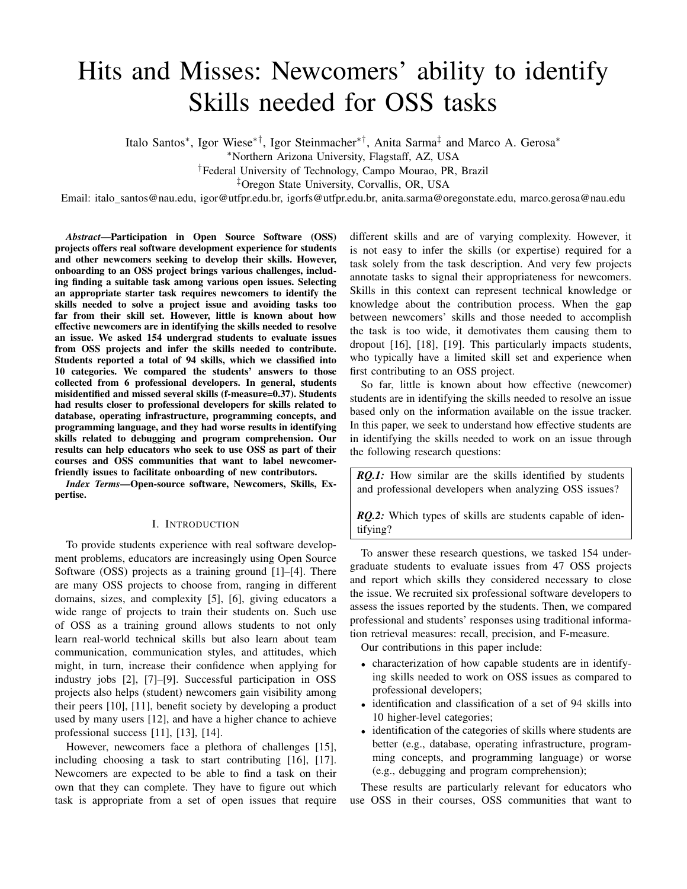# Hits and Misses: Newcomers' ability to identify Skills needed for OSS tasks

Italo Santos<sup>∗</sup> , Igor Wiese∗†, Igor Steinmacher∗†, Anita Sarma‡ and Marco A. Gerosa<sup>∗</sup>

<sup>∗</sup>Northern Arizona University, Flagstaff, AZ, USA

†Federal University of Technology, Campo Mourao, PR, Brazil

‡Oregon State University, Corvallis, OR, USA

Email: italo santos@nau.edu, igor@utfpr.edu.br, igorfs@utfpr.edu.br, anita.sarma@oregonstate.edu, marco.gerosa@nau.edu

*Abstract*—Participation in Open Source Software (OSS) projects offers real software development experience for students and other newcomers seeking to develop their skills. However, onboarding to an OSS project brings various challenges, including finding a suitable task among various open issues. Selecting an appropriate starter task requires newcomers to identify the skills needed to solve a project issue and avoiding tasks too far from their skill set. However, little is known about how effective newcomers are in identifying the skills needed to resolve an issue. We asked 154 undergrad students to evaluate issues from OSS projects and infer the skills needed to contribute. Students reported a total of 94 skills, which we classified into 10 categories. We compared the students' answers to those collected from 6 professional developers. In general, students misidentified and missed several skills (f-measure=0.37). Students had results closer to professional developers for skills related to database, operating infrastructure, programming concepts, and programming language, and they had worse results in identifying skills related to debugging and program comprehension. Our results can help educators who seek to use OSS as part of their courses and OSS communities that want to label newcomerfriendly issues to facilitate onboarding of new contributors.

*Index Terms*—Open-source software, Newcomers, Skills, Expertise.

#### I. INTRODUCTION

To provide students experience with real software development problems, educators are increasingly using Open Source Software (OSS) projects as a training ground [1]–[4]. There are many OSS projects to choose from, ranging in different domains, sizes, and complexity [5], [6], giving educators a wide range of projects to train their students on. Such use of OSS as a training ground allows students to not only learn real-world technical skills but also learn about team communication, communication styles, and attitudes, which might, in turn, increase their confidence when applying for industry jobs [2], [7]–[9]. Successful participation in OSS projects also helps (student) newcomers gain visibility among their peers [10], [11], benefit society by developing a product used by many users [12], and have a higher chance to achieve professional success [11], [13], [14].

However, newcomers face a plethora of challenges [15], including choosing a task to start contributing [16], [17]. Newcomers are expected to be able to find a task on their own that they can complete. They have to figure out which task is appropriate from a set of open issues that require different skills and are of varying complexity. However, it is not easy to infer the skills (or expertise) required for a task solely from the task description. And very few projects annotate tasks to signal their appropriateness for newcomers. Skills in this context can represent technical knowledge or knowledge about the contribution process. When the gap between newcomers' skills and those needed to accomplish the task is too wide, it demotivates them causing them to dropout [16], [18], [19]. This particularly impacts students, who typically have a limited skill set and experience when first contributing to an OSS project.

So far, little is known about how effective (newcomer) students are in identifying the skills needed to resolve an issue based only on the information available on the issue tracker. In this paper, we seek to understand how effective students are in identifying the skills needed to work on an issue through the following research questions:

*RQ.1:* How similar are the skills identified by students and professional developers when analyzing OSS issues?

*RQ.2:* Which types of skills are students capable of identifying?

To answer these research questions, we tasked 154 undergraduate students to evaluate issues from 47 OSS projects and report which skills they considered necessary to close the issue. We recruited six professional software developers to assess the issues reported by the students. Then, we compared professional and students' responses using traditional information retrieval measures: recall, precision, and F-measure.

Our contributions in this paper include:

- characterization of how capable students are in identifying skills needed to work on OSS issues as compared to professional developers;
- identification and classification of a set of 94 skills into 10 higher-level categories;
- identification of the categories of skills where students are better (e.g., database, operating infrastructure, programming concepts, and programming language) or worse (e.g., debugging and program comprehension);

These results are particularly relevant for educators who use OSS in their courses, OSS communities that want to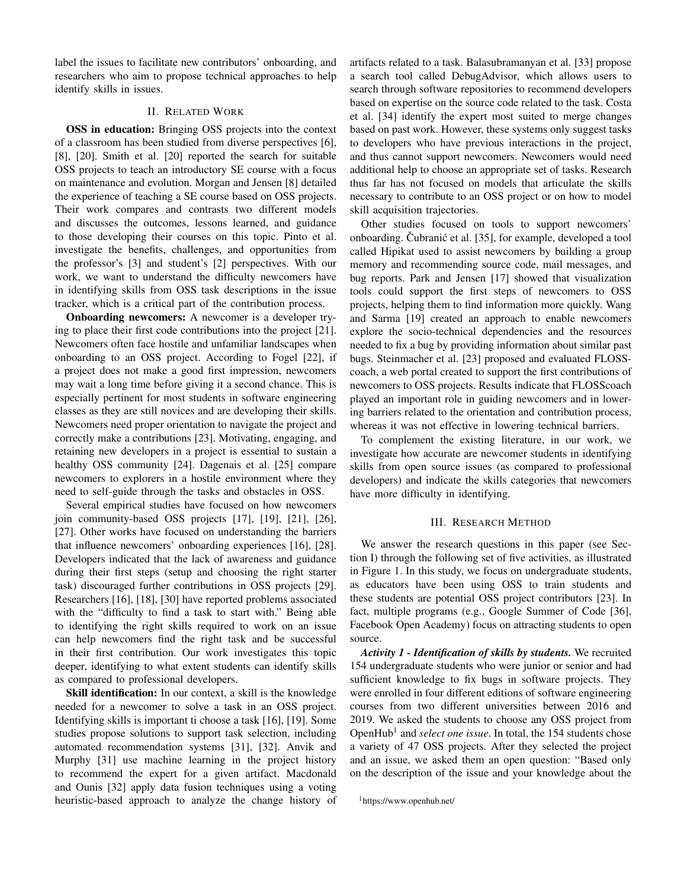label the issues to facilitate new contributors' onboarding, and researchers who aim to propose technical approaches to help identify skills in issues.

# II. RELATED WORK

OSS in education: Bringing OSS projects into the context of a classroom has been studied from diverse perspectives [6], [8], [20]. Smith et al. [20] reported the search for suitable OSS projects to teach an introductory SE course with a focus on maintenance and evolution. Morgan and Jensen [8] detailed the experience of teaching a SE course based on OSS projects. Their work compares and contrasts two different models and discusses the outcomes, lessons learned, and guidance to those developing their courses on this topic. Pinto et al. investigate the benefits, challenges, and opportunities from the professor's [3] and student's [2] perspectives. With our work, we want to understand the difficulty newcomers have in identifying skills from OSS task descriptions in the issue tracker, which is a critical part of the contribution process.

Onboarding newcomers: A newcomer is a developer trying to place their first code contributions into the project [21]. Newcomers often face hostile and unfamiliar landscapes when onboarding to an OSS project. According to Fogel [22], if a project does not make a good first impression, newcomers may wait a long time before giving it a second chance. This is especially pertinent for most students in software engineering classes as they are still novices and are developing their skills. Newcomers need proper orientation to navigate the project and correctly make a contributions [23]. Motivating, engaging, and retaining new developers in a project is essential to sustain a healthy OSS community [24]. Dagenais et al. [25] compare newcomers to explorers in a hostile environment where they need to self-guide through the tasks and obstacles in OSS.

Several empirical studies have focused on how newcomers join community-based OSS projects [17], [19], [21], [26], [27]. Other works have focused on understanding the barriers that influence newcomers' onboarding experiences [16], [28]. Developers indicated that the lack of awareness and guidance during their first steps (setup and choosing the right starter task) discouraged further contributions in OSS projects [29]. Researchers [16], [18], [30] have reported problems associated with the "difficulty to find a task to start with." Being able to identifying the right skills required to work on an issue can help newcomers find the right task and be successful in their first contribution. Our work investigates this topic deeper, identifying to what extent students can identify skills as compared to professional developers.

Skill identification: In our context, a skill is the knowledge needed for a newcomer to solve a task in an OSS project. Identifying skills is important ti choose a task [16], [19]. Some studies propose solutions to support task selection, including automated recommendation systems [31], [32]. Anvik and Murphy [31] use machine learning in the project history to recommend the expert for a given artifact. Macdonald and Ounis [32] apply data fusion techniques using a voting heuristic-based approach to analyze the change history of

artifacts related to a task. Balasubramanyan et al. [33] propose a search tool called DebugAdvisor, which allows users to search through software repositories to recommend developers based on expertise on the source code related to the task. Costa et al. [34] identify the expert most suited to merge changes based on past work. However, these systems only suggest tasks to developers who have previous interactions in the project, and thus cannot support newcomers. Newcomers would need additional help to choose an appropriate set of tasks. Research thus far has not focused on models that articulate the skills necessary to contribute to an OSS project or on how to model skill acquisition trajectories.

Other studies focused on tools to support newcomers' onboarding. Cubranić et al. [35], for example, developed a tool called Hipikat used to assist newcomers by building a group memory and recommending source code, mail messages, and bug reports. Park and Jensen [17] showed that visualization tools could support the first steps of newcomers to OSS projects, helping them to find information more quickly. Wang and Sarma [19] created an approach to enable newcomers explore the socio-technical dependencies and the resources needed to fix a bug by providing information about similar past bugs. Steinmacher et al. [23] proposed and evaluated FLOSScoach, a web portal created to support the first contributions of newcomers to OSS projects. Results indicate that FLOSScoach played an important role in guiding newcomers and in lowering barriers related to the orientation and contribution process, whereas it was not effective in lowering technical barriers.

To complement the existing literature, in our work, we investigate how accurate are newcomer students in identifying skills from open source issues (as compared to professional developers) and indicate the skills categories that newcomers have more difficulty in identifying.

## III. RESEARCH METHOD

We answer the research questions in this paper (see Section I) through the following set of five activities, as illustrated in Figure 1. In this study, we focus on undergraduate students, as educators have been using OSS to train students and these students are potential OSS project contributors [23]. In fact, multiple programs (e.g., Google Summer of Code [36], Facebook Open Academy) focus on attracting students to open source.

*Activity 1 - Identification of skills by students.* We recruited 154 undergraduate students who were junior or senior and had sufficient knowledge to fix bugs in software projects. They were enrolled in four different editions of software engineering courses from two different universities between 2016 and 2019. We asked the students to choose any OSS project from OpenHub<sup>1</sup> and *select one issue*. In total, the 154 students chose a variety of 47 OSS projects. After they selected the project and an issue, we asked them an open question: "Based only on the description of the issue and your knowledge about the

<sup>1</sup>https://www.openhub.net/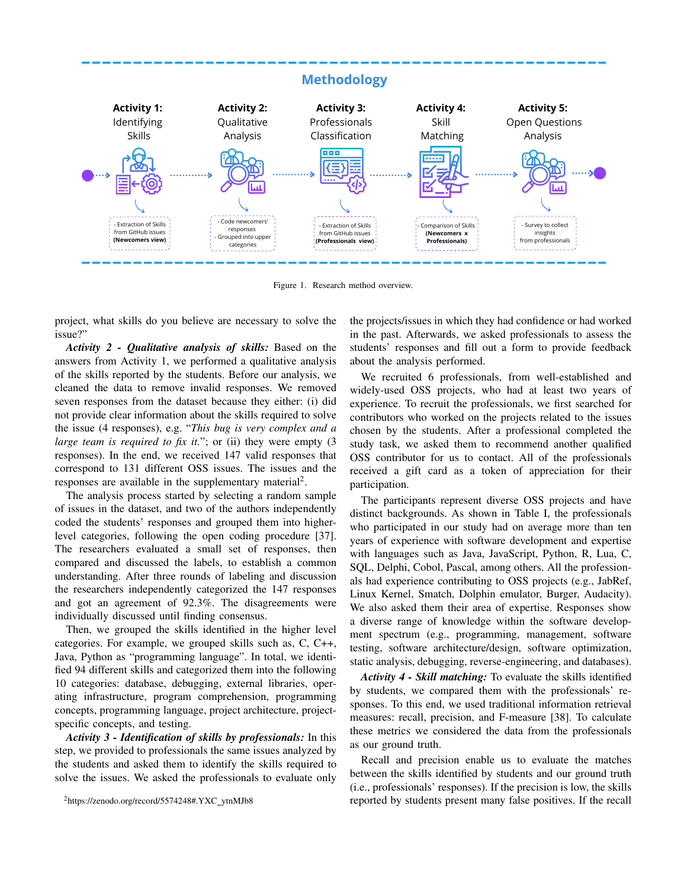

Figure 1. Research method overview.

project, what skills do you believe are necessary to solve the issue?"

*Activity 2 - Qualitative analysis of skills:* Based on the answers from Activity 1, we performed a qualitative analysis of the skills reported by the students. Before our analysis, we cleaned the data to remove invalid responses. We removed seven responses from the dataset because they either: (i) did not provide clear information about the skills required to solve the issue (4 responses), e.g. "*This bug is very complex and a large team is required to fix it.*"; or (ii) they were empty (3 responses). In the end, we received 147 valid responses that correspond to 131 different OSS issues. The issues and the responses are available in the supplementary material<sup>2</sup>.

The analysis process started by selecting a random sample of issues in the dataset, and two of the authors independently coded the students' responses and grouped them into higherlevel categories, following the open coding procedure [37]. The researchers evaluated a small set of responses, then compared and discussed the labels, to establish a common understanding. After three rounds of labeling and discussion the researchers independently categorized the 147 responses and got an agreement of 92.3%. The disagreements were individually discussed until finding consensus.

Then, we grouped the skills identified in the higher level categories. For example, we grouped skills such as, C, C++, Java, Python as "programming language". In total, we identified 94 different skills and categorized them into the following 10 categories: database, debugging, external libraries, operating infrastructure, program comprehension, programming concepts, programming language, project architecture, projectspecific concepts, and testing.

*Activity 3 - Identification of skills by professionals:* In this step, we provided to professionals the same issues analyzed by the students and asked them to identify the skills required to solve the issues. We asked the professionals to evaluate only

<sup>2</sup>https://zenodo.org/record/5574248#.YXC ytnMJb8

the projects/issues in which they had confidence or had worked in the past. Afterwards, we asked professionals to assess the students' responses and fill out a form to provide feedback about the analysis performed.

We recruited 6 professionals, from well-established and widely-used OSS projects, who had at least two years of experience. To recruit the professionals, we first searched for contributors who worked on the projects related to the issues chosen by the students. After a professional completed the study task, we asked them to recommend another qualified OSS contributor for us to contact. All of the professionals received a gift card as a token of appreciation for their participation.

The participants represent diverse OSS projects and have distinct backgrounds. As shown in Table I, the professionals who participated in our study had on average more than ten years of experience with software development and expertise with languages such as Java, JavaScript, Python, R, Lua, C, SQL, Delphi, Cobol, Pascal, among others. All the professionals had experience contributing to OSS projects (e.g., JabRef, Linux Kernel, Smatch, Dolphin emulator, Burger, Audacity). We also asked them their area of expertise. Responses show a diverse range of knowledge within the software development spectrum (e.g., programming, management, software testing, software architecture/design, software optimization, static analysis, debugging, reverse-engineering, and databases).

*Activity 4 - Skill matching:* To evaluate the skills identified by students, we compared them with the professionals' responses. To this end, we used traditional information retrieval measures: recall, precision, and F-measure [38]. To calculate these metrics we considered the data from the professionals as our ground truth.

Recall and precision enable us to evaluate the matches between the skills identified by students and our ground truth (i.e., professionals' responses). If the precision is low, the skills reported by students present many false positives. If the recall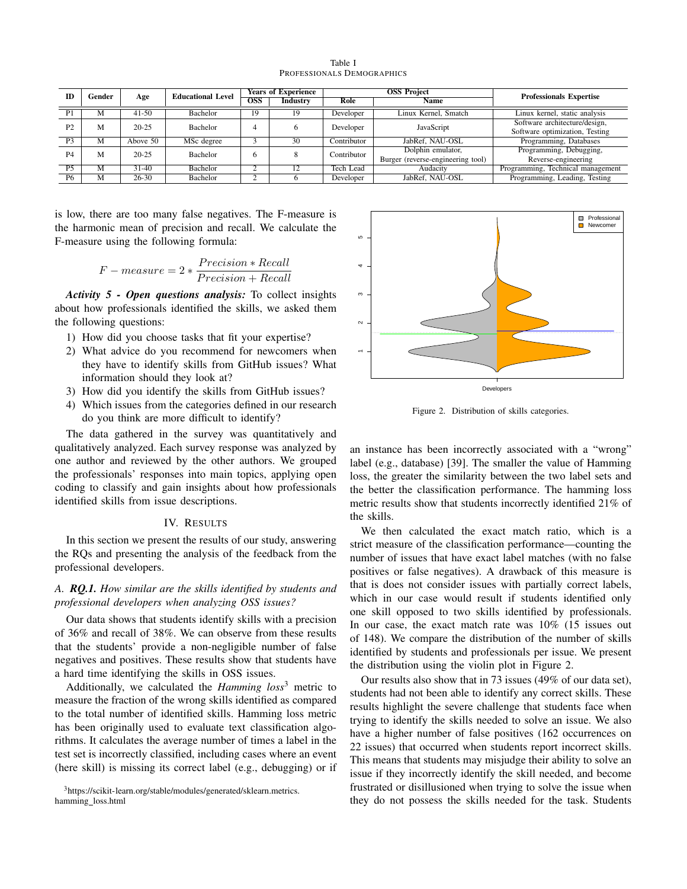| m              | Gender |           | <b>Educational Level</b> | <b>Years of Experience</b> |          | <b>OSS Project</b> |                                   | <b>Professionals Expertise</b>    |  |
|----------------|--------|-----------|--------------------------|----------------------------|----------|--------------------|-----------------------------------|-----------------------------------|--|
|                |        | Age       |                          | <b>OSS</b>                 | Industry | Role               | Name                              |                                   |  |
| P <sub>1</sub> | М      | $41 - 50$ | Bachelor                 | 19                         | 19       | Developer          | Linux Kernel, Smatch              | Linux kernel, static analysis     |  |
| P <sub>2</sub> | M      | $20 - 25$ | <b>Bachelor</b>          |                            |          | Developer          | JavaScript                        | Software architecture/design,     |  |
|                |        |           |                          |                            |          |                    |                                   | Software optimization, Testing    |  |
| P <sub>3</sub> | М      | Above 50  | MSc degree               |                            | 30       | Contributor        | JabRef, NAU-OSL                   | Programming, Databases            |  |
| P <sub>4</sub> | M      | $20 - 25$ | <b>Bachelor</b>          |                            |          | Contributor        | Dolphin emulator,                 | Programming, Debugging,           |  |
|                |        |           |                          |                            |          |                    | Burger (reverse-engineering tool) | Reverse-engineering               |  |
| P <sub>5</sub> | M      | $31-40$   | <b>Bachelor</b>          |                            |          | Tech Lead          | Audacity                          | Programming, Technical management |  |
| P6             | M      | $26 - 30$ | Bachelor                 |                            |          | Developer          | JabRef. NAU-OSL                   | Programming, Leading, Testing     |  |

Table I PROFESSIONALS DEMOGRAPHICS

is low, there are too many false negatives. The F-measure is the harmonic mean of precision and recall. We calculate the F-measure using the following formula:

$$
F-measure = 2 * \frac{Precision * Recall}{Precision + Recall}
$$

*Activity 5 - Open questions analysis:* To collect insights about how professionals identified the skills, we asked them the following questions:

- 1) How did you choose tasks that fit your expertise?
- 2) What advice do you recommend for newcomers when they have to identify skills from GitHub issues? What information should they look at?
- 3) How did you identify the skills from GitHub issues?
- 4) Which issues from the categories defined in our research do you think are more difficult to identify?

The data gathered in the survey was quantitatively and qualitatively analyzed. Each survey response was analyzed by one author and reviewed by the other authors. We grouped the professionals' responses into main topics, applying open coding to classify and gain insights about how professionals identified skills from issue descriptions.

# IV. RESULTS

In this section we present the results of our study, answering the RQs and presenting the analysis of the feedback from the professional developers.

# *A. RQ.1. How similar are the skills identified by students and professional developers when analyzing OSS issues?*

Our data shows that students identify skills with a precision of 36% and recall of 38%. We can observe from these results that the students' provide a non-negligible number of false negatives and positives. These results show that students have a hard time identifying the skills in OSS issues.

Additionally, we calculated the *Hamming loss*<sup>3</sup> metric to measure the fraction of the wrong skills identified as compared to the total number of identified skills. Hamming loss metric has been originally used to evaluate text classification algorithms. It calculates the average number of times a label in the test set is incorrectly classified, including cases where an event (here skill) is missing its correct label (e.g., debugging) or if

<sup>3</sup>https://scikit-learn.org/stable/modules/generated/sklearn.metrics. hamming loss.html



Figure 2. Distribution of skills categories.

an instance has been incorrectly associated with a "wrong" label (e.g., database) [39]. The smaller the value of Hamming loss, the greater the similarity between the two label sets and the better the classification performance. The hamming loss metric results show that students incorrectly identified 21% of the skills.

We then calculated the exact match ratio, which is a strict measure of the classification performance—counting the number of issues that have exact label matches (with no false positives or false negatives). A drawback of this measure is that is does not consider issues with partially correct labels, which in our case would result if students identified only one skill opposed to two skills identified by professionals. In our case, the exact match rate was 10% (15 issues out of 148). We compare the distribution of the number of skills identified by students and professionals per issue. We present the distribution using the violin plot in Figure 2.

Our results also show that in 73 issues (49% of our data set), students had not been able to identify any correct skills. These results highlight the severe challenge that students face when trying to identify the skills needed to solve an issue. We also have a higher number of false positives (162 occurrences on 22 issues) that occurred when students report incorrect skills. This means that students may misjudge their ability to solve an issue if they incorrectly identify the skill needed, and become frustrated or disillusioned when trying to solve the issue when they do not possess the skills needed for the task. Students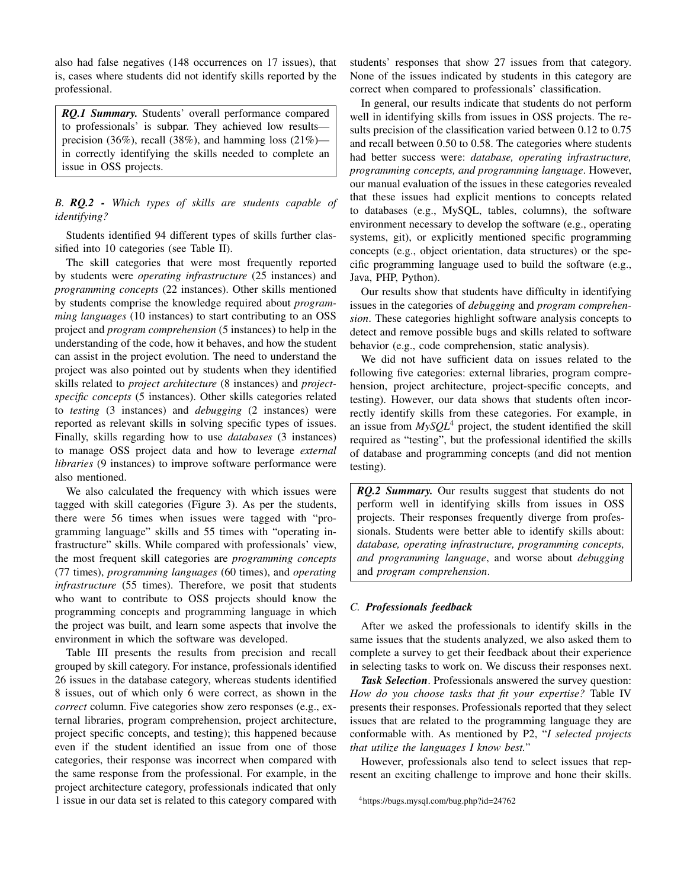also had false negatives (148 occurrences on 17 issues), that is, cases where students did not identify skills reported by the professional.

*RQ.1 Summary.* Students' overall performance compared to professionals' is subpar. They achieved low results precision (36%), recall (38%), and hamming loss (21%) in correctly identifying the skills needed to complete an issue in OSS projects.

*B. RQ.2 - Which types of skills are students capable of identifying?*

Students identified 94 different types of skills further classified into 10 categories (see Table II).

The skill categories that were most frequently reported by students were *operating infrastructure* (25 instances) and *programming concepts* (22 instances). Other skills mentioned by students comprise the knowledge required about *programming languages* (10 instances) to start contributing to an OSS project and *program comprehension* (5 instances) to help in the understanding of the code, how it behaves, and how the student can assist in the project evolution. The need to understand the project was also pointed out by students when they identified skills related to *project architecture* (8 instances) and *projectspecific concepts* (5 instances). Other skills categories related to *testing* (3 instances) and *debugging* (2 instances) were reported as relevant skills in solving specific types of issues. Finally, skills regarding how to use *databases* (3 instances) to manage OSS project data and how to leverage *external libraries* (9 instances) to improve software performance were also mentioned.

We also calculated the frequency with which issues were tagged with skill categories (Figure 3). As per the students, there were 56 times when issues were tagged with "programming language" skills and 55 times with "operating infrastructure" skills. While compared with professionals' view, the most frequent skill categories are *programming concepts* (77 times), *programming languages* (60 times), and *operating infrastructure* (55 times). Therefore, we posit that students who want to contribute to OSS projects should know the programming concepts and programming language in which the project was built, and learn some aspects that involve the environment in which the software was developed.

Table III presents the results from precision and recall grouped by skill category. For instance, professionals identified 26 issues in the database category, whereas students identified 8 issues, out of which only 6 were correct, as shown in the *correct* column. Five categories show zero responses (e.g., external libraries, program comprehension, project architecture, project specific concepts, and testing); this happened because even if the student identified an issue from one of those categories, their response was incorrect when compared with the same response from the professional. For example, in the project architecture category, professionals indicated that only 1 issue in our data set is related to this category compared with

students' responses that show 27 issues from that category. None of the issues indicated by students in this category are correct when compared to professionals' classification.

In general, our results indicate that students do not perform well in identifying skills from issues in OSS projects. The results precision of the classification varied between 0.12 to 0.75 and recall between 0.50 to 0.58. The categories where students had better success were: *database, operating infrastructure, programming concepts, and programming language*. However, our manual evaluation of the issues in these categories revealed that these issues had explicit mentions to concepts related to databases (e.g., MySQL, tables, columns), the software environment necessary to develop the software (e.g., operating systems, git), or explicitly mentioned specific programming concepts (e.g., object orientation, data structures) or the specific programming language used to build the software (e.g., Java, PHP, Python).

Our results show that students have difficulty in identifying issues in the categories of *debugging* and *program comprehension*. These categories highlight software analysis concepts to detect and remove possible bugs and skills related to software behavior (e.g., code comprehension, static analysis).

We did not have sufficient data on issues related to the following five categories: external libraries, program comprehension, project architecture, project-specific concepts, and testing). However, our data shows that students often incorrectly identify skills from these categories. For example, in an issue from  $MySQL^4$  project, the student identified the skill required as "testing", but the professional identified the skills of database and programming concepts (and did not mention testing).

*RQ.2 Summary.* Our results suggest that students do not perform well in identifying skills from issues in OSS projects. Their responses frequently diverge from professionals. Students were better able to identify skills about: *database, operating infrastructure, programming concepts, and programming language*, and worse about *debugging* and *program comprehension*.

## *C. Professionals feedback*

After we asked the professionals to identify skills in the same issues that the students analyzed, we also asked them to complete a survey to get their feedback about their experience in selecting tasks to work on. We discuss their responses next.

*Task Selection*. Professionals answered the survey question: *How do you choose tasks that fit your expertise?* Table IV presents their responses. Professionals reported that they select issues that are related to the programming language they are conformable with. As mentioned by P2, "*I selected projects that utilize the languages I know best.*"

However, professionals also tend to select issues that represent an exciting challenge to improve and hone their skills.

<sup>4</sup>https://bugs.mysql.com/bug.php?id=24762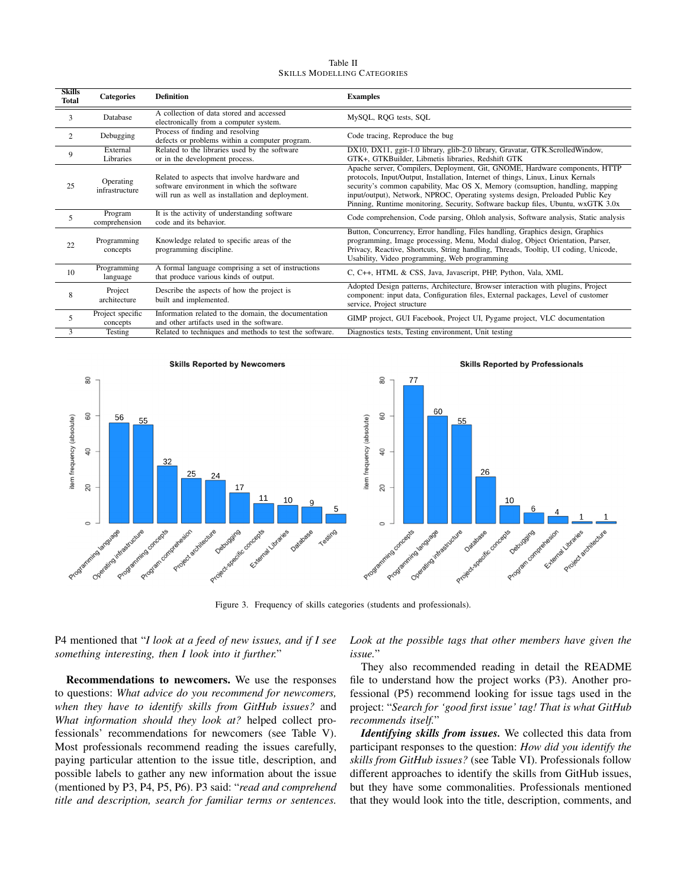| Table II                           |  |  |  |  |
|------------------------------------|--|--|--|--|
| <b>SKILLS MODELLING CATEGORIES</b> |  |  |  |  |

| <b>Skills</b><br><b>Total</b> | <b>Categories</b>            | <b>Definition</b>                                                                                                                              | <b>Examples</b>                                                                                                                                                                                                                                                                                                                                                                                                      |
|-------------------------------|------------------------------|------------------------------------------------------------------------------------------------------------------------------------------------|----------------------------------------------------------------------------------------------------------------------------------------------------------------------------------------------------------------------------------------------------------------------------------------------------------------------------------------------------------------------------------------------------------------------|
| 3                             | Database                     | A collection of data stored and accessed<br>electronically from a computer system.                                                             | MySQL, RQG tests, SQL                                                                                                                                                                                                                                                                                                                                                                                                |
| $\overline{c}$                | Debugging                    | Process of finding and resolving<br>defects or problems within a computer program.                                                             | Code tracing, Reproduce the bug                                                                                                                                                                                                                                                                                                                                                                                      |
| 9                             | External<br>Libraries        | Related to the libraries used by the software<br>or in the development process.                                                                | DX10, DX11, ggit-1.0 library, glib-2.0 library, Gravatar, GTK.ScrolledWindow,<br>GTK+, GTKBuilder, Libmetis libraries, Redshift GTK                                                                                                                                                                                                                                                                                  |
| 25                            | Operating<br>infrastructure  | Related to aspects that involve hardware and<br>software environment in which the software<br>will run as well as installation and deployment. | Apache server, Compilers, Deployment, Git, GNOME, Hardware components, HTTP<br>protocols, Input/Output, Installation, Internet of things, Linux, Linux Kernals<br>security's common capability, Mac OS X, Memory (comsuption, handling, mapping<br>input/output), Network, NPROC, Operating systems design, Preloaded Public Key<br>Pinning, Runtime monitoring, Security, Software backup files, Ubuntu, wxGTK 3.0x |
| 5                             | Program<br>comprehension     | It is the activity of understanding software<br>code and its behavior.                                                                         | Code comprehension, Code parsing, Ohloh analysis, Software analysis, Static analysis                                                                                                                                                                                                                                                                                                                                 |
| 22                            | Programming<br>concepts      | Knowledge related to specific areas of the<br>programming discipline.                                                                          | Button, Concurrency, Error handling, Files handling, Graphics design, Graphics<br>programming, Image processing, Menu, Modal dialog, Object Orientation, Parser,<br>Privacy, Reactive, Shortcuts, String handling, Threads, Tooltip, UI coding, Unicode,<br>Usability, Video programming, Web programming                                                                                                            |
| 10                            | Programming<br>language      | A formal language comprising a set of instructions<br>that produce various kinds of output.                                                    | C, C++, HTML & CSS, Java, Javascript, PHP, Python, Vala, XML                                                                                                                                                                                                                                                                                                                                                         |
| 8                             | Project<br>architecture      | Describe the aspects of how the project is<br>built and implemented.                                                                           | Adopted Design patterns, Architecture, Browser interaction with plugins, Project<br>component: input data, Configuration files, External packages, Level of customer<br>service, Project structure                                                                                                                                                                                                                   |
| 5                             | Project specific<br>concepts | Information related to the domain, the documentation<br>and other artifacts used in the software.                                              | GIMP project, GUI Facebook, Project UI, Pygame project, VLC documentation                                                                                                                                                                                                                                                                                                                                            |
| 3                             | Testing                      | Related to techniques and methods to test the software.                                                                                        | Diagnostics tests, Testing environment, Unit testing                                                                                                                                                                                                                                                                                                                                                                 |



Figure 3. Frequency of skills categories (students and professionals).

P4 mentioned that "*I look at a feed of new issues, and if I see something interesting, then I look into it further.*"

Recommendations to newcomers. We use the responses to questions: *What advice do you recommend for newcomers, when they have to identify skills from GitHub issues?* and *What information should they look at?* helped collect professionals' recommendations for newcomers (see Table V). Most professionals recommend reading the issues carefully, paying particular attention to the issue title, description, and possible labels to gather any new information about the issue (mentioned by P3, P4, P5, P6). P3 said: "*read and comprehend title and description, search for familiar terms or sentences.* *Look at the possible tags that other members have given the issue.*"

They also recommended reading in detail the README file to understand how the project works (P3). Another professional (P5) recommend looking for issue tags used in the project: "*Search for 'good first issue' tag! That is what GitHub recommends itself.*"

*Identifying skills from issues.* We collected this data from participant responses to the question: *How did you identify the skills from GitHub issues?* (see Table VI). Professionals follow different approaches to identify the skills from GitHub issues, but they have some commonalities. Professionals mentioned that they would look into the title, description, comments, and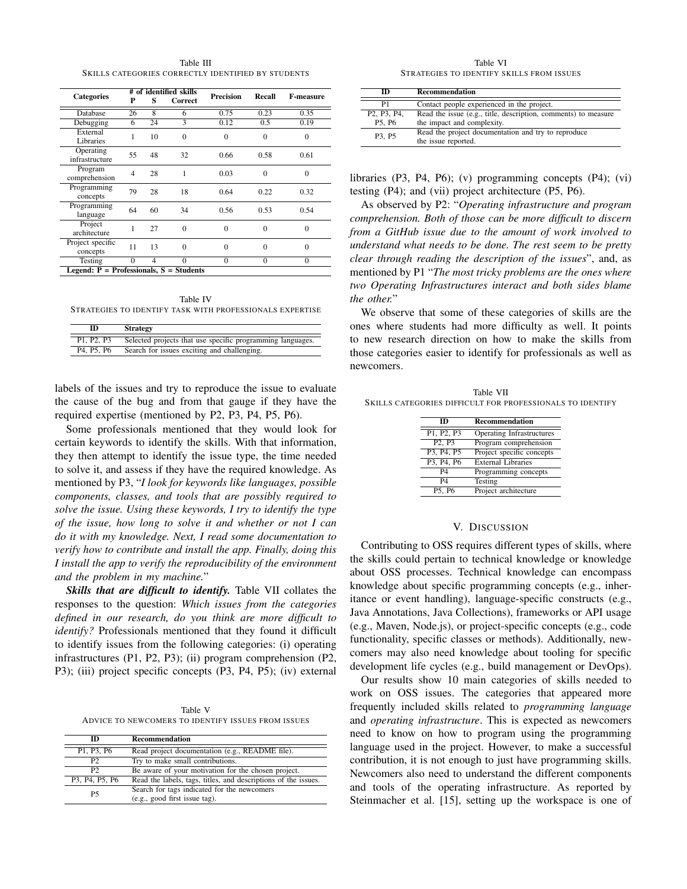Table III SKILLS CATEGORIES CORRECTLY IDENTIFIED BY STUDENTS

| <b>Categories</b>                           | # of identified skills |                |          | <b>Precision</b> | Recall         | <b>F-measure</b> |  |
|---------------------------------------------|------------------------|----------------|----------|------------------|----------------|------------------|--|
|                                             | P                      | S              | Correct  |                  |                |                  |  |
| Database                                    | 26                     | $\overline{8}$ | 6        | 0.75             | 0.23           | 0.35             |  |
| Debugging                                   | 6                      | 24             | 3        | 0.12             | 0.5            | 0.19             |  |
| External                                    | 1                      | 10             | $\Omega$ | $\Omega$         | $\overline{0}$ | $\Omega$         |  |
| Libraries                                   |                        |                |          |                  |                |                  |  |
| Operating                                   | 55                     | 48             | 32       | 0.66             | 0.58           | 0.61             |  |
| infrastructure                              |                        |                |          |                  |                |                  |  |
| Program                                     | $\overline{4}$         | 28             | 1        | 0.03             | $\theta$       | $\Omega$         |  |
| comprehension                               |                        |                |          |                  |                |                  |  |
| Programming                                 | 79                     | 28             | 18       | 0.64             | 0.22           | 0.32             |  |
| concepts                                    |                        |                |          |                  |                |                  |  |
| Programming                                 | 64                     | 60             | 34       | 0.56             | 0.53           | 0.54             |  |
| language                                    |                        |                |          |                  |                |                  |  |
| Project                                     | 1                      | 27             | $\theta$ | $\Omega$         | $\theta$       | $\theta$         |  |
| architecture                                |                        |                |          |                  |                |                  |  |
| Project specific                            | 11                     | 13             | $\theta$ | $\Omega$         | $\theta$       | $\theta$         |  |
| concepts                                    |                        |                |          |                  |                |                  |  |
| Testing                                     | $\Omega$               | 4              | $\theta$ | $\mathbf{0}$     | $\theta$       | $\mathbf{0}$     |  |
| Legend: $P =$ Professionals, $S =$ Students |                        |                |          |                  |                |                  |  |

Table IV STRATEGIES TO IDENTIFY TASK WITH PROFESSIONALS EXPERTISE

| ID                                               | <b>Strategy</b>                                            |
|--------------------------------------------------|------------------------------------------------------------|
| P1. P2. P3                                       | Selected projects that use specific programming languages. |
| P <sub>4</sub> , P <sub>5</sub> , P <sub>6</sub> | Search for issues exciting and challenging.                |

labels of the issues and try to reproduce the issue to evaluate the cause of the bug and from that gauge if they have the required expertise (mentioned by P2, P3, P4, P5, P6).

Some professionals mentioned that they would look for certain keywords to identify the skills. With that information, they then attempt to identify the issue type, the time needed to solve it, and assess if they have the required knowledge. As mentioned by P3, "*I look for keywords like languages, possible components, classes, and tools that are possibly required to solve the issue. Using these keywords, I try to identify the type of the issue, how long to solve it and whether or not I can do it with my knowledge. Next, I read some documentation to verify how to contribute and install the app. Finally, doing this I install the app to verify the reproducibility of the environment and the problem in my machine.*"

*Skills that are difficult to identify.* Table VII collates the responses to the question: *Which issues from the categories defined in our research, do you think are more difficult to identify?* Professionals mentioned that they found it difficult to identify issues from the following categories: (i) operating infrastructures (P1, P2, P3); (ii) program comprehension (P2, P3); (iii) project specific concepts (P3, P4, P5); (iv) external

Table V ADVICE TO NEWCOMERS TO IDENTIFY ISSUES FROM ISSUES

| m              | <b>Recommendation</b>                                          |
|----------------|----------------------------------------------------------------|
| P1, P3, P6     | Read project documentation (e.g., README file).                |
| P <sub>2</sub> | Try to make small contributions.                               |
| P <sub>2</sub> | Be aware of your motivation for the chosen project.            |
| P3, P4, P5, P6 | Read the labels, tags, titles, and descriptions of the issues. |
| <b>P5</b>      | Search for tags indicated for the newcomers                    |
|                | (e.g., good first issue tag).                                  |

Table VI STRATEGIES TO IDENTIFY SKILLS FROM ISSUES

| m                                                            | Recommendation                                                                               |
|--------------------------------------------------------------|----------------------------------------------------------------------------------------------|
| P1                                                           | Contact people experienced in the project.                                                   |
| P <sub>2</sub> , P <sub>3</sub> , P <sub>4</sub> ,<br>P5, P6 | Read the issue (e.g., title, description, comments) to measure<br>the impact and complexity. |
| P3, P5                                                       | Read the project documentation and try to reproduce<br>the issue reported.                   |

libraries (P3, P4, P6); (v) programming concepts (P4); (vi) testing (P4); and (vii) project architecture (P5, P6).

As observed by P2: "*Operating infrastructure and program comprehension. Both of those can be more difficult to discern from a GitHub issue due to the amount of work involved to understand what needs to be done. The rest seem to be pretty clear through reading the description of the issues*", and, as mentioned by P1 "*The most tricky problems are the ones where two Operating Infrastructures interact and both sides blame the other.*"

We observe that some of these categories of skills are the ones where students had more difficulty as well. It points to new research direction on how to make the skills from those categories easier to identify for professionals as well as newcomers.

|                                                           | Table VII |  |  |
|-----------------------------------------------------------|-----------|--|--|
| Skills categories difficult for professionals to identify |           |  |  |

| m                                                | <b>Recommendation</b>     |
|--------------------------------------------------|---------------------------|
| P1, P2, P3                                       | Operating Infrastructures |
| P <sub>2</sub> , P <sub>3</sub>                  | Program comprehension     |
| P <sub>3</sub> , P <sub>4</sub> , P <sub>5</sub> | Project specific concepts |
| P3, P4, P6                                       | <b>External Libraries</b> |
| P4                                               | Programming concepts      |
| P4                                               | Testing                   |
| P5. P6                                           | Project architecture      |

# V. DISCUSSION

Contributing to OSS requires different types of skills, where the skills could pertain to technical knowledge or knowledge about OSS processes. Technical knowledge can encompass knowledge about specific programming concepts (e.g., inheritance or event handling), language-specific constructs (e.g., Java Annotations, Java Collections), frameworks or API usage (e.g., Maven, Node.js), or project-specific concepts (e.g., code functionality, specific classes or methods). Additionally, newcomers may also need knowledge about tooling for specific development life cycles (e.g., build management or DevOps).

Our results show 10 main categories of skills needed to work on OSS issues. The categories that appeared more frequently included skills related to *programming language* and *operating infrastructure*. This is expected as newcomers need to know on how to program using the programming language used in the project. However, to make a successful contribution, it is not enough to just have programming skills. Newcomers also need to understand the different components and tools of the operating infrastructure. As reported by Steinmacher et al. [15], setting up the workspace is one of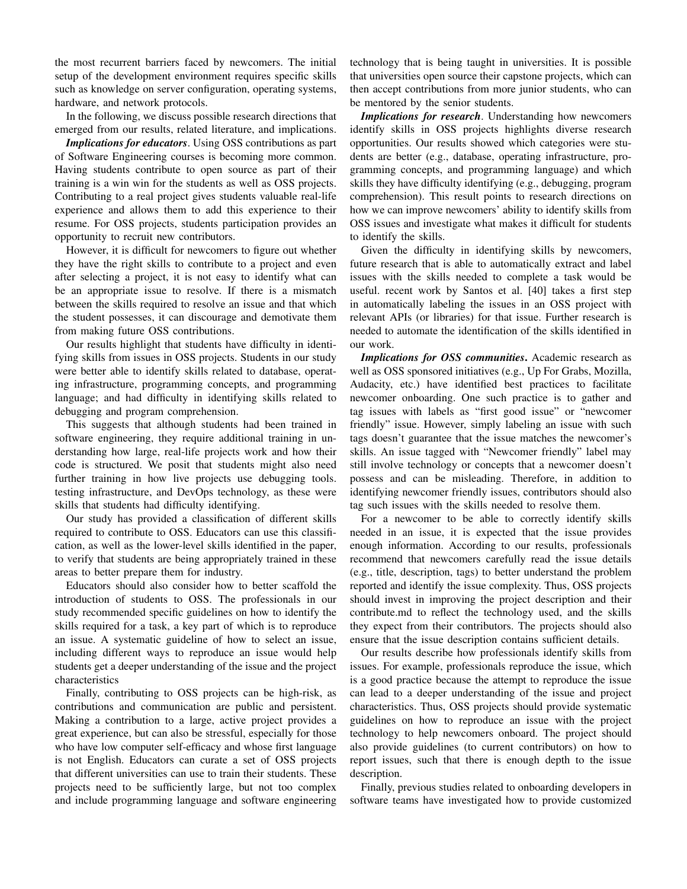the most recurrent barriers faced by newcomers. The initial setup of the development environment requires specific skills such as knowledge on server configuration, operating systems, hardware, and network protocols.

In the following, we discuss possible research directions that emerged from our results, related literature, and implications.

*Implications for educators*. Using OSS contributions as part of Software Engineering courses is becoming more common. Having students contribute to open source as part of their training is a win win for the students as well as OSS projects. Contributing to a real project gives students valuable real-life experience and allows them to add this experience to their resume. For OSS projects, students participation provides an opportunity to recruit new contributors.

However, it is difficult for newcomers to figure out whether they have the right skills to contribute to a project and even after selecting a project, it is not easy to identify what can be an appropriate issue to resolve. If there is a mismatch between the skills required to resolve an issue and that which the student possesses, it can discourage and demotivate them from making future OSS contributions.

Our results highlight that students have difficulty in identifying skills from issues in OSS projects. Students in our study were better able to identify skills related to database, operating infrastructure, programming concepts, and programming language; and had difficulty in identifying skills related to debugging and program comprehension.

This suggests that although students had been trained in software engineering, they require additional training in understanding how large, real-life projects work and how their code is structured. We posit that students might also need further training in how live projects use debugging tools. testing infrastructure, and DevOps technology, as these were skills that students had difficulty identifying.

Our study has provided a classification of different skills required to contribute to OSS. Educators can use this classification, as well as the lower-level skills identified in the paper, to verify that students are being appropriately trained in these areas to better prepare them for industry.

Educators should also consider how to better scaffold the introduction of students to OSS. The professionals in our study recommended specific guidelines on how to identify the skills required for a task, a key part of which is to reproduce an issue. A systematic guideline of how to select an issue, including different ways to reproduce an issue would help students get a deeper understanding of the issue and the project characteristics

Finally, contributing to OSS projects can be high-risk, as contributions and communication are public and persistent. Making a contribution to a large, active project provides a great experience, but can also be stressful, especially for those who have low computer self-efficacy and whose first language is not English. Educators can curate a set of OSS projects that different universities can use to train their students. These projects need to be sufficiently large, but not too complex and include programming language and software engineering technology that is being taught in universities. It is possible that universities open source their capstone projects, which can then accept contributions from more junior students, who can be mentored by the senior students.

*Implications for research*. Understanding how newcomers identify skills in OSS projects highlights diverse research opportunities. Our results showed which categories were students are better (e.g., database, operating infrastructure, programming concepts, and programming language) and which skills they have difficulty identifying (e.g., debugging, program comprehension). This result points to research directions on how we can improve newcomers' ability to identify skills from OSS issues and investigate what makes it difficult for students to identify the skills.

Given the difficulty in identifying skills by newcomers, future research that is able to automatically extract and label issues with the skills needed to complete a task would be useful. recent work by Santos et al. [40] takes a first step in automatically labeling the issues in an OSS project with relevant APIs (or libraries) for that issue. Further research is needed to automate the identification of the skills identified in our work.

*Implications for OSS communities*. Academic research as well as OSS sponsored initiatives (e.g., Up For Grabs, Mozilla, Audacity, etc.) have identified best practices to facilitate newcomer onboarding. One such practice is to gather and tag issues with labels as "first good issue" or "newcomer friendly" issue. However, simply labeling an issue with such tags doesn't guarantee that the issue matches the newcomer's skills. An issue tagged with "Newcomer friendly" label may still involve technology or concepts that a newcomer doesn't possess and can be misleading. Therefore, in addition to identifying newcomer friendly issues, contributors should also tag such issues with the skills needed to resolve them.

For a newcomer to be able to correctly identify skills needed in an issue, it is expected that the issue provides enough information. According to our results, professionals recommend that newcomers carefully read the issue details (e.g., title, description, tags) to better understand the problem reported and identify the issue complexity. Thus, OSS projects should invest in improving the project description and their contribute.md to reflect the technology used, and the skills they expect from their contributors. The projects should also ensure that the issue description contains sufficient details.

Our results describe how professionals identify skills from issues. For example, professionals reproduce the issue, which is a good practice because the attempt to reproduce the issue can lead to a deeper understanding of the issue and project characteristics. Thus, OSS projects should provide systematic guidelines on how to reproduce an issue with the project technology to help newcomers onboard. The project should also provide guidelines (to current contributors) on how to report issues, such that there is enough depth to the issue description.

Finally, previous studies related to onboarding developers in software teams have investigated how to provide customized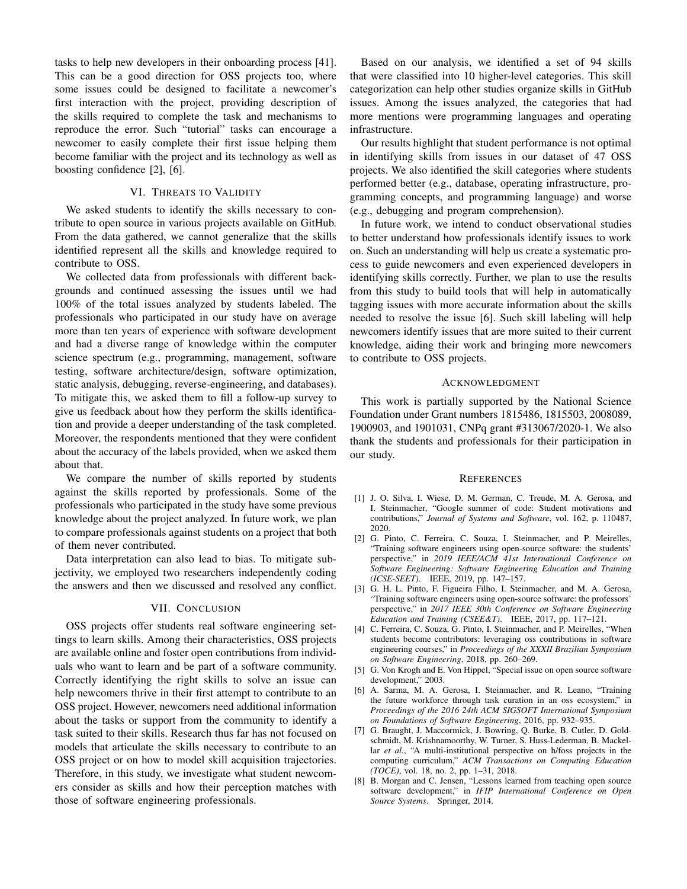tasks to help new developers in their onboarding process [41]. This can be a good direction for OSS projects too, where some issues could be designed to facilitate a newcomer's first interaction with the project, providing description of the skills required to complete the task and mechanisms to reproduce the error. Such "tutorial" tasks can encourage a newcomer to easily complete their first issue helping them become familiar with the project and its technology as well as boosting confidence [2], [6].

# VI. THREATS TO VALIDITY

We asked students to identify the skills necessary to contribute to open source in various projects available on GitHub. From the data gathered, we cannot generalize that the skills identified represent all the skills and knowledge required to contribute to OSS.

We collected data from professionals with different backgrounds and continued assessing the issues until we had 100% of the total issues analyzed by students labeled. The professionals who participated in our study have on average more than ten years of experience with software development and had a diverse range of knowledge within the computer science spectrum (e.g., programming, management, software testing, software architecture/design, software optimization, static analysis, debugging, reverse-engineering, and databases). To mitigate this, we asked them to fill a follow-up survey to give us feedback about how they perform the skills identification and provide a deeper understanding of the task completed. Moreover, the respondents mentioned that they were confident about the accuracy of the labels provided, when we asked them about that.

We compare the number of skills reported by students against the skills reported by professionals. Some of the professionals who participated in the study have some previous knowledge about the project analyzed. In future work, we plan to compare professionals against students on a project that both of them never contributed.

Data interpretation can also lead to bias. To mitigate subjectivity, we employed two researchers independently coding the answers and then we discussed and resolved any conflict.

#### VII. CONCLUSION

OSS projects offer students real software engineering settings to learn skills. Among their characteristics, OSS projects are available online and foster open contributions from individuals who want to learn and be part of a software community. Correctly identifying the right skills to solve an issue can help newcomers thrive in their first attempt to contribute to an OSS project. However, newcomers need additional information about the tasks or support from the community to identify a task suited to their skills. Research thus far has not focused on models that articulate the skills necessary to contribute to an OSS project or on how to model skill acquisition trajectories. Therefore, in this study, we investigate what student newcomers consider as skills and how their perception matches with those of software engineering professionals.

Based on our analysis, we identified a set of 94 skills that were classified into 10 higher-level categories. This skill categorization can help other studies organize skills in GitHub issues. Among the issues analyzed, the categories that had more mentions were programming languages and operating infrastructure.

Our results highlight that student performance is not optimal in identifying skills from issues in our dataset of 47 OSS projects. We also identified the skill categories where students performed better (e.g., database, operating infrastructure, programming concepts, and programming language) and worse (e.g., debugging and program comprehension).

In future work, we intend to conduct observational studies to better understand how professionals identify issues to work on. Such an understanding will help us create a systematic process to guide newcomers and even experienced developers in identifying skills correctly. Further, we plan to use the results from this study to build tools that will help in automatically tagging issues with more accurate information about the skills needed to resolve the issue [6]. Such skill labeling will help newcomers identify issues that are more suited to their current knowledge, aiding their work and bringing more newcomers to contribute to OSS projects.

#### ACKNOWLEDGMENT

This work is partially supported by the National Science Foundation under Grant numbers 1815486, 1815503, 2008089, 1900903, and 1901031, CNPq grant #313067/2020-1. We also thank the students and professionals for their participation in our study.

#### **REFERENCES**

- [1] J. O. Silva, I. Wiese, D. M. German, C. Treude, M. A. Gerosa, and I. Steinmacher, "Google summer of code: Student motivations and contributions," *Journal of Systems and Software*, vol. 162, p. 110487, 2020.
- [2] G. Pinto, C. Ferreira, C. Souza, I. Steinmacher, and P. Meirelles, "Training software engineers using open-source software: the students' perspective," in *2019 IEEE/ACM 41st International Conference on Software Engineering: Software Engineering Education and Training (ICSE-SEET)*. IEEE, 2019, pp. 147–157.
- [3] G. H. L. Pinto, F. Figueira Filho, I. Steinmacher, and M. A. Gerosa, "Training software engineers using open-source software: the professors' perspective," in *2017 IEEE 30th Conference on Software Engineering Education and Training (CSEE&T)*. IEEE, 2017, pp. 117–121.
- [4] C. Ferreira, C. Souza, G. Pinto, I. Steinmacher, and P. Meirelles, "When students become contributors: leveraging oss contributions in software engineering courses," in *Proceedings of the XXXII Brazilian Symposium on Software Engineering*, 2018, pp. 260–269.
- [5] G. Von Krogh and E. Von Hippel, "Special issue on open source software development," 2003.
- [6] A. Sarma, M. A. Gerosa, I. Steinmacher, and R. Leano, "Training the future workforce through task curation in an oss ecosystem," in *Proceedings of the 2016 24th ACM SIGSOFT International Symposium on Foundations of Software Engineering*, 2016, pp. 932–935.
- [7] G. Braught, J. Maccormick, J. Bowring, Q. Burke, B. Cutler, D. Goldschmidt, M. Krishnamoorthy, W. Turner, S. Huss-Lederman, B. Mackellar *et al.*, "A multi-institutional perspective on h/foss projects in the computing curriculum," *ACM Transactions on Computing Education (TOCE)*, vol. 18, no. 2, pp. 1–31, 2018.
- [8] B. Morgan and C. Jensen, "Lessons learned from teaching open source software development," in *IFIP International Conference on Open Source Systems*. Springer, 2014.